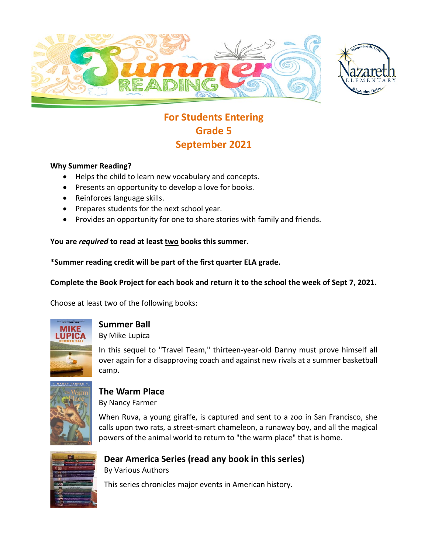



# **For Students Entering Grade 5 September 2021**

#### **Why Summer Reading?**

- Helps the child to learn new vocabulary and concepts.
- Presents an opportunity to develop a love for books.
- Reinforces language skills.
- Prepares students for the next school year.
- Provides an opportunity for one to share stories with family and friends.

#### **You are** *required* **to read at least two books this summer.**

**\*Summer reading credit will be part of the first quarter ELA grade.**

#### **Complete the Book Project for each book and return it to the school the week of Sept 7, 2021.**

Choose at least two of the following books:



# **Summer Ball**

By Mike Lupica

In this sequel to "Travel Team," thirteen-year-old Danny must prove himself all over again for a disapproving coach and against new rivals at a summer basketball camp.



# **The Warm Place**

By Nancy Farmer

When Ruva, a young giraffe, is captured and sent to a zoo in San Francisco, she calls upon two rats, a street-smart chameleon, a runaway boy, and all the magical powers of the animal world to return to "the warm place" that is home.



#### **Dear America Series (read any book in this series)** By Various Authors

This series chronicles major events in American history.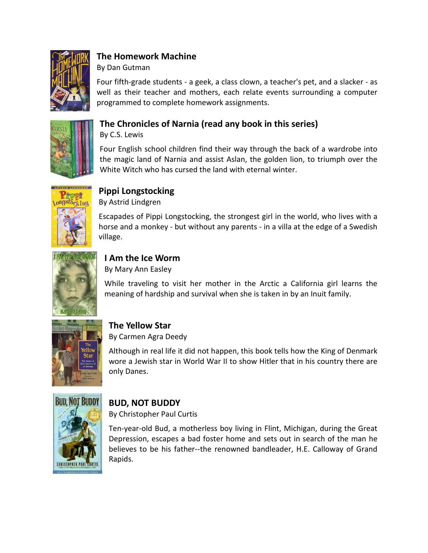

## **The Homework Machine**

By Dan Gutman

Four fifth-grade students - a geek, a class clown, a teacher's pet, and a slacker - as well as their teacher and mothers, each relate events surrounding a computer programmed to complete homework assignments.



## **The Chronicles of Narnia (read any book in this series)**

By C.S. Lewis

Four English school children find their way through the back of a wardrobe into the magic land of Narnia and assist Aslan, the golden lion, to triumph over the White Witch who has cursed the land with eternal winter.



#### **Pippi Longstocking**

By Astrid Lindgren

Escapades of Pippi Longstocking, the strongest girl in the world, who lives with a horse and a monkey - but without any parents - in a villa at the edge of a Swedish village.



### **I Am the Ice Worm**

By Mary Ann Easley

While traveling to visit her mother in the Arctic a California girl learns the meaning of hardship and survival when she is taken in by an Inuit family.



## **The Yellow Star**

By Carmen Agra Deedy

Although in real life it did not happen, this book tells how the King of Denmark wore a Jewish star in World War II to show Hitler that in his country there are only Danes.



## **BUD, NOT BUDDY**

By Christopher Paul Curtis

Ten-year-old Bud, a motherless boy living in Flint, Michigan, during the Great Depression, escapes a bad foster home and sets out in search of the man he believes to be his father--the renowned bandleader, H.E. Calloway of Grand Rapids.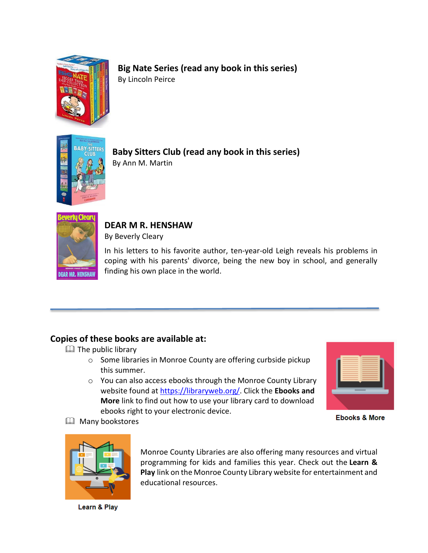

## **Big Nate Series (read any book in this series)**

By Lincoln Peirce



**Baby Sitters Club (read any book in this series)** By Ann M. Martin



#### **DEAR M R. HENSHAW**

By Beverly Cleary

In his letters to his favorite author, ten-year-old Leigh reveals his problems in coping with his parents' divorce, being the new boy in school, and generally finding his own place in the world.

#### **Copies of these books are available at:**

- **EQ** The public library
	- o Some libraries in Monroe County are offering curbside pickup this summer.
	- o You can also access ebooks through the Monroe County Library website found at [https://libraryweb.org/.](https://libraryweb.org/) Click the **Ebooks and More** link to find out how to use your library card to download ebooks right to your electronic device.



**Ebooks & More** 



**E Many bookstores** 

Monroe County Libraries are also offering many resources and virtual programming for kids and families this year. Check out the **Learn & Play** link on the Monroe County Library website for entertainment and educational resources.

Learn & Play